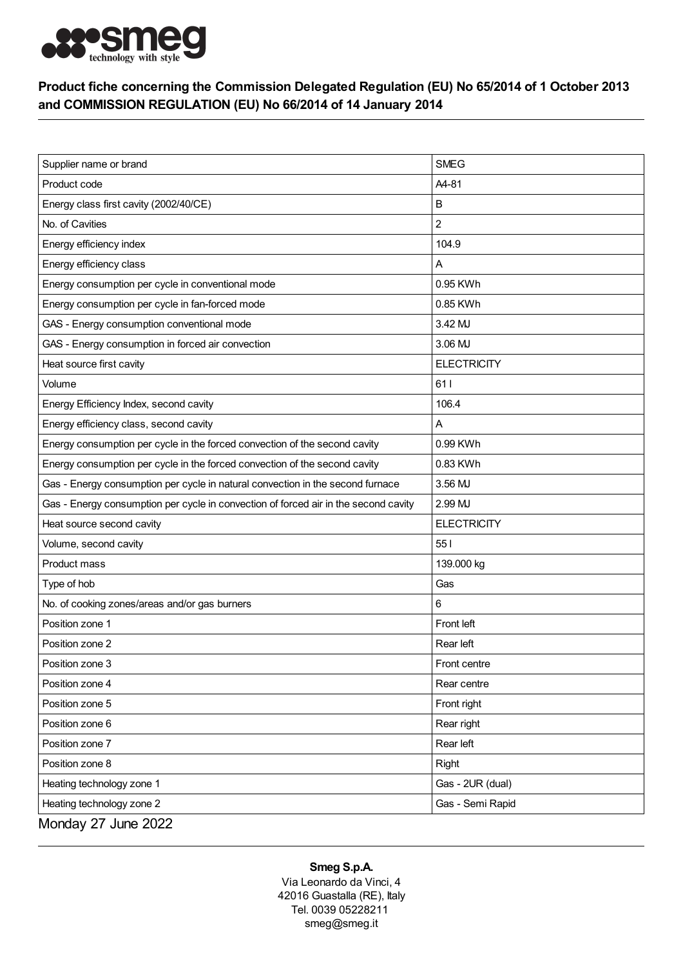

## Product fiche concerning the Commission Delegated Regulation (EU) No 65/2014 of 1 October 2013 and COMMISSION REGULATION (EU) No 66/2014 of 14 January 2014

| Supplier name or brand                                                              | <b>SMEG</b>        |
|-------------------------------------------------------------------------------------|--------------------|
| Product code                                                                        | A4-81              |
| Energy class first cavity (2002/40/CE)                                              | B                  |
| No. of Cavities                                                                     | $\overline{c}$     |
| Energy efficiency index                                                             | 104.9              |
| Energy efficiency class                                                             | Α                  |
| Energy consumption per cycle in conventional mode                                   | 0.95 KWh           |
| Energy consumption per cycle in fan-forced mode                                     | 0.85 KWh           |
| GAS - Energy consumption conventional mode                                          | 3.42 MJ            |
| GAS - Energy consumption in forced air convection                                   | 3.06 MJ            |
| Heat source first cavity                                                            | <b>ELECTRICITY</b> |
| Volume                                                                              | 611                |
| Energy Efficiency Index, second cavity                                              | 106.4              |
| Energy efficiency class, second cavity                                              | A                  |
| Energy consumption per cycle in the forced convection of the second cavity          | 0.99 KWh           |
| Energy consumption per cycle in the forced convection of the second cavity          | 0.83 KWh           |
| Gas - Energy consumption per cycle in natural convection in the second furnace      | 3.56 MJ            |
| Gas - Energy consumption per cycle in convection of forced air in the second cavity | 2.99 MJ            |
| Heat source second cavity                                                           | <b>ELECTRICITY</b> |
| Volume, second cavity                                                               | 551                |
| Product mass                                                                        | 139.000 kg         |
| Type of hob                                                                         | Gas                |
| No. of cooking zones/areas and/or gas burners                                       | 6                  |
| Position zone 1                                                                     | Front left         |
| Position zone 2                                                                     | Rear left          |
| Position zone 3                                                                     | Front centre       |
| Position zone 4                                                                     | Rear centre        |
| Position zone 5                                                                     | Front right        |
| Position zone 6                                                                     | Rear right         |
| Position zone 7                                                                     | Rear left          |
| Position zone 8                                                                     | Right              |
| Heating technology zone 1                                                           | Gas - 2UR (dual)   |
| Heating technology zone 2                                                           | Gas - Semi Rapid   |
| Monday 27 June 2022                                                                 |                    |

## Smeg S.p.A.

Via Leonardo da Vinci, 4 42016 Guastalla (RE), Italy Tel. 0039 05228211 smeg@smeg.it